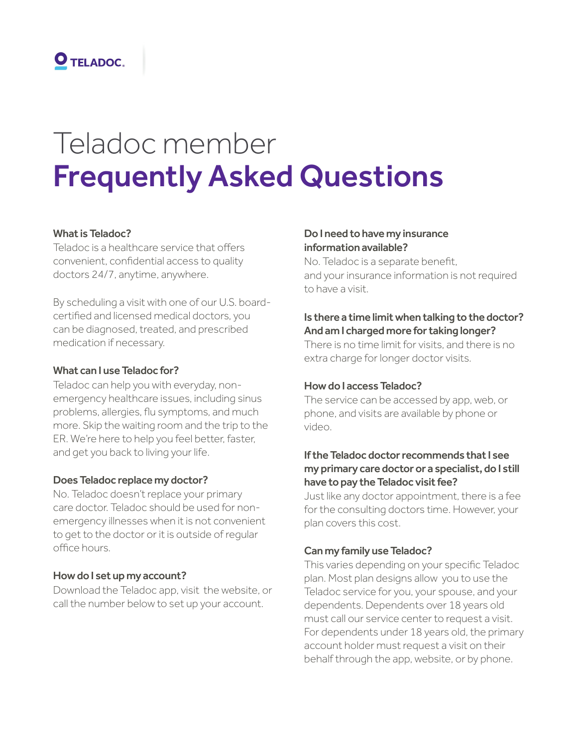

# Teladoc member Frequently Asked Questions

## What is Teladoc?

Teladoc is a healthcare service that offers convenient, confidential access to quality doctors 24/7, anytime, anywhere.

By scheduling a visit with one of our U.S. boardcertified and licensed medical doctors, you can be diagnosed, treated, and prescribed medication if necessary.

#### What can I use Teladoc for?

Teladoc can help you with everyday, nonemergency healthcare issues, including sinus problems, allergies, flu symptoms, and much more. Skip the waiting room and the trip to the ER. We're here to help you feel better, faster, and get you back to living your life.

#### Does Teladoc replace my doctor?

No. Teladoc doesn't replace your primary care doctor. Teladoc should be used for nonemergency illnesses when it is not convenient to get to the doctor or it is outside of regular office hours.

#### How do I set up my account?

Download the Teladoc app, visit the website, or call the number below to set up your account.

### Do I need to have my insurance information available?

No. Teladoc is a separate benefit, and your insurance information is not required to have a visit.

# Is there a time limit when talking to the doctor? And am I charged more for taking longer?

There is no time limit for visits, and there is no extra charge for longer doctor visits.

# How do I access Teladoc?

The service can be accessed by app, web, or phone, and visits are available by phone or video.

# If the Teladoc doctor recommends that I see my primary care doctor or a specialist, do I still have to pay the Teladoc visit fee?

Just like any doctor appointment, there is a fee for the consulting doctors time. However, your plan covers this cost.

#### Can my family use Teladoc?

This varies depending on your specific Teladoc plan. Most plan designs allow you to use the Teladoc service for you, your spouse, and your dependents. Dependents over 18 years old must call our service center to request a visit. For dependents under 18 years old, the primary account holder must request a visit on their behalf through the app, website, or by phone.